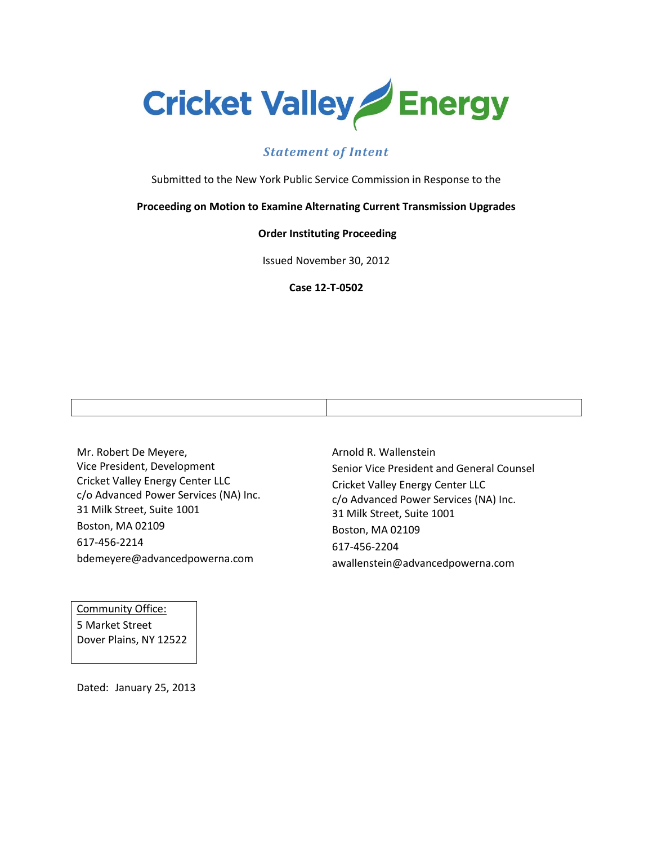

## *Statement of Intent*

Submitted to the New York Public Service Commission in Response to the

#### **Proceeding on Motion to Examine Alternating Current Transmission Upgrades**

#### **Order Instituting Proceeding**

Issued November 30, 2012

**Case 12-T-0502**

Mr. Robert De Meyere, Vice President, Development Cricket Valley Energy Center LLC c/o Advanced Power Services (NA) Inc. 31 Milk Street, Suite 1001 Boston, MA 02109 617-456-2214 bdemeyere@advancedpowerna.com

Community Office: 5 Market Street Dover Plains, NY 12522 Arnold R. Wallenstein Senior Vice President and General Counsel Cricket Valley Energy Center LLC c/o Advanced Power Services (NA) Inc. 31 Milk Street, Suite 1001 Boston, MA 02109 617-456-2204 awallenstein@advancedpowerna.com

Dated: January 25, 2013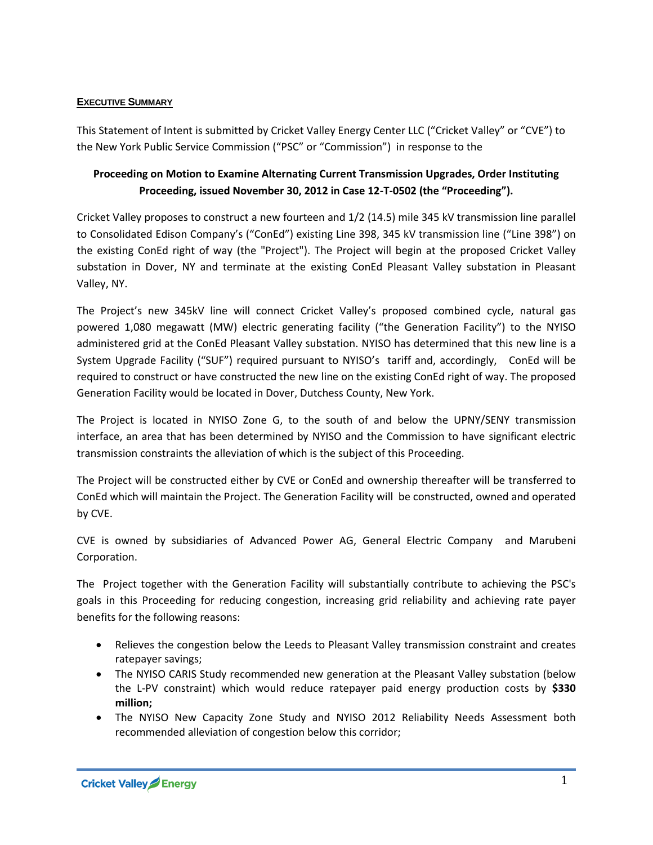#### **EXECUTIVE SUMMARY**

This Statement of Intent is submitted by Cricket Valley Energy Center LLC ("Cricket Valley" or "CVE") to the New York Public Service Commission ("PSC" or "Commission") in response to the

## **Proceeding on Motion to Examine Alternating Current Transmission Upgrades, Order Instituting Proceeding, issued November 30, 2012 in Case 12-T-0502 (the "Proceeding").**

Cricket Valley proposes to construct a new fourteen and 1/2 (14.5) mile 345 kV transmission line parallel to Consolidated Edison Company's ("ConEd") existing Line 398, 345 kV transmission line ("Line 398") on the existing ConEd right of way (the "Project"). The Project will begin at the proposed Cricket Valley substation in Dover, NY and terminate at the existing ConEd Pleasant Valley substation in Pleasant Valley, NY.

The Project's new 345kV line will connect Cricket Valley's proposed combined cycle, natural gas powered 1,080 megawatt (MW) electric generating facility ("the Generation Facility") to the NYISO administered grid at the ConEd Pleasant Valley substation. NYISO has determined that this new line is a System Upgrade Facility ("SUF") required pursuant to NYISO's tariff and, accordingly, ConEd will be required to construct or have constructed the new line on the existing ConEd right of way. The proposed Generation Facility would be located in Dover, Dutchess County, New York.

The Project is located in NYISO Zone G, to the south of and below the UPNY/SENY transmission interface, an area that has been determined by NYISO and the Commission to have significant electric transmission constraints the alleviation of which is the subject of this Proceeding.

The Project will be constructed either by CVE or ConEd and ownership thereafter will be transferred to ConEd which will maintain the Project. The Generation Facility will be constructed, owned and operated by CVE.

CVE is owned by subsidiaries of Advanced Power AG, General Electric Company and Marubeni Corporation.

The Project together with the Generation Facility will substantially contribute to achieving the PSC's goals in this Proceeding for reducing congestion, increasing grid reliability and achieving rate payer benefits for the following reasons:

- Relieves the congestion below the Leeds to Pleasant Valley transmission constraint and creates ratepayer savings;
- The NYISO CARIS Study recommended new generation at the Pleasant Valley substation (below the L-PV constraint) which would reduce ratepayer paid energy production costs by **\$330 million;**
- The NYISO New Capacity Zone Study and NYISO 2012 Reliability Needs Assessment both recommended alleviation of congestion below this corridor;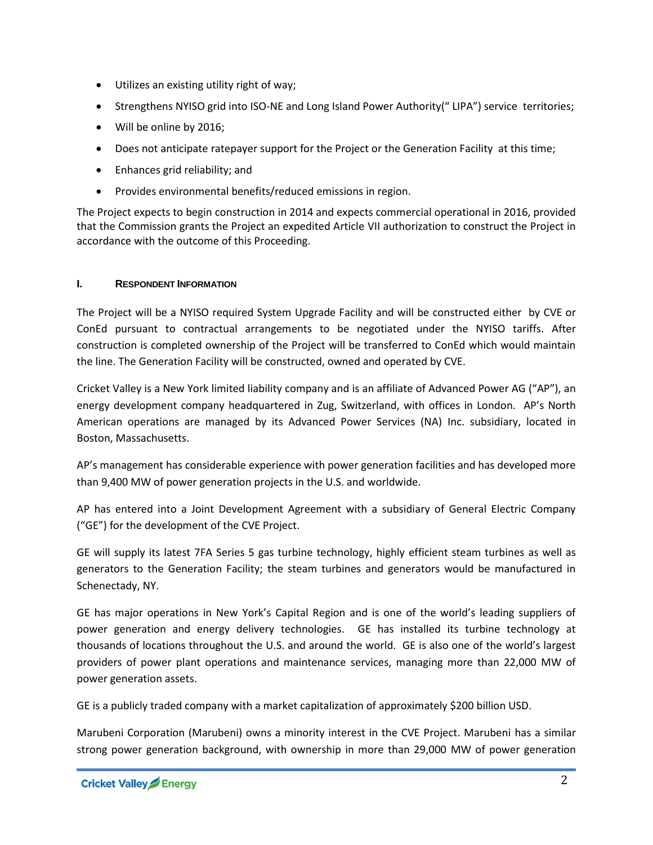- Utilizes an existing utility right of way;
- Strengthens NYISO grid into ISO-NE and Long Island Power Authority(" LIPA") service territories;
- Will be online by 2016;
- Does not anticipate ratepayer support for the Project or the Generation Facility at this time;
- Enhances grid reliability; and
- Provides environmental benefits/reduced emissions in region.

The Project expects to begin construction in 2014 and expects commercial operational in 2016, provided that the Commission grants the Project an expedited Article VII authorization to construct the Project in accordance with the outcome of this Proceeding.

#### **I. RESPONDENT INFORMATION**

The Project will be a NYISO required System Upgrade Facility and will be constructed either by CVE or ConEd pursuant to contractual arrangements to be negotiated under the NYISO tariffs. After construction is completed ownership of the Project will be transferred to ConEd which would maintain the line. The Generation Facility will be constructed, owned and operated by CVE.

Cricket Valley is a New York limited liability company and is an affiliate of Advanced Power AG ("AP"), an energy development company headquartered in Zug, Switzerland, with offices in London. AP's North American operations are managed by its Advanced Power Services (NA) Inc. subsidiary, located in Boston, Massachusetts.

AP's management has considerable experience with power generation facilities and has developed more than 9,400 MW of power generation projects in the U.S. and worldwide.

AP has entered into a Joint Development Agreement with a subsidiary of General Electric Company ("GE") for the development of the CVE Project.

GE will supply its latest 7FA Series 5 gas turbine technology, highly efficient steam turbines as well as generators to the Generation Facility; the steam turbines and generators would be manufactured in Schenectady, NY.

GE has major operations in New York's Capital Region and is one of the world's leading suppliers of power generation and energy delivery technologies. GE has installed its turbine technology at thousands of locations throughout the U.S. and around the world. GE is also one of the world's largest providers of power plant operations and maintenance services, managing more than 22,000 MW of power generation assets.

GE is a publicly traded company with a market capitalization of approximately \$200 billion USD.

Marubeni Corporation (Marubeni) owns a minority interest in the CVE Project. Marubeni has a similar strong power generation background, with ownership in more than 29,000 MW of power generation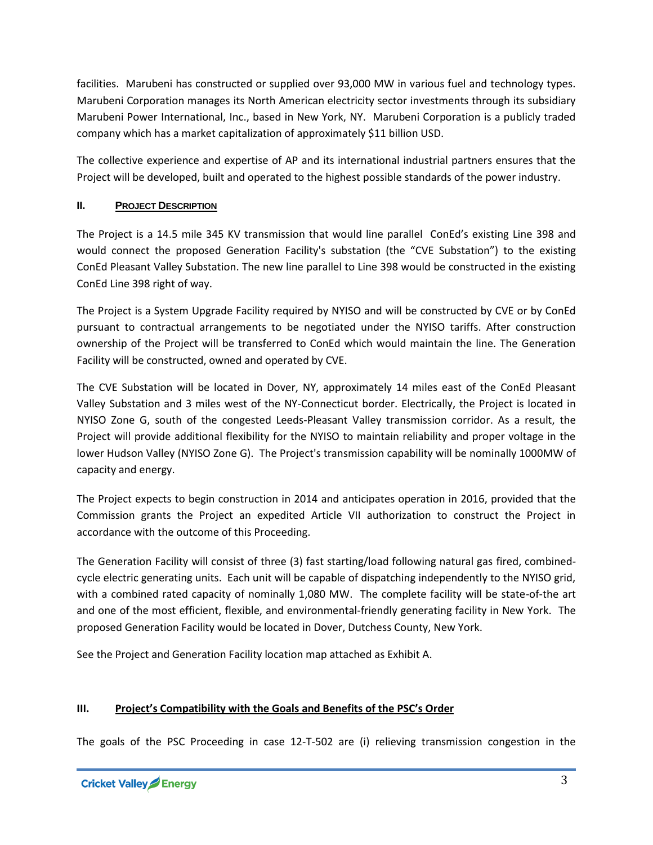facilities. Marubeni has constructed or supplied over 93,000 MW in various fuel and technology types. Marubeni Corporation manages its North American electricity sector investments through its subsidiary Marubeni Power International, Inc., based in New York, NY. Marubeni Corporation is a publicly traded company which has a market capitalization of approximately \$11 billion USD.

The collective experience and expertise of AP and its international industrial partners ensures that the Project will be developed, built and operated to the highest possible standards of the power industry.

## **II.** PROJECT DESCRIPTION

The Project is a 14.5 mile 345 KV transmission that would line parallel ConEd's existing Line 398 and would connect the proposed Generation Facility's substation (the "CVE Substation") to the existing ConEd Pleasant Valley Substation. The new line parallel to Line 398 would be constructed in the existing ConEd Line 398 right of way.

The Project is a System Upgrade Facility required by NYISO and will be constructed by CVE or by ConEd pursuant to contractual arrangements to be negotiated under the NYISO tariffs. After construction ownership of the Project will be transferred to ConEd which would maintain the line. The Generation Facility will be constructed, owned and operated by CVE.

The CVE Substation will be located in Dover, NY, approximately 14 miles east of the ConEd Pleasant Valley Substation and 3 miles west of the NY-Connecticut border. Electrically, the Project is located in NYISO Zone G, south of the congested Leeds-Pleasant Valley transmission corridor. As a result, the Project will provide additional flexibility for the NYISO to maintain reliability and proper voltage in the lower Hudson Valley (NYISO Zone G). The Project's transmission capability will be nominally 1000MW of capacity and energy.

The Project expects to begin construction in 2014 and anticipates operation in 2016, provided that the Commission grants the Project an expedited Article VII authorization to construct the Project in accordance with the outcome of this Proceeding.

The Generation Facility will consist of three (3) fast starting/load following natural gas fired, combinedcycle electric generating units. Each unit will be capable of dispatching independently to the NYISO grid, with a combined rated capacity of nominally 1,080 MW. The complete facility will be state-of-the art and one of the most efficient, flexible, and environmental-friendly generating facility in New York. The proposed Generation Facility would be located in Dover, Dutchess County, New York.

See the Project and Generation Facility location map attached as Exhibit A.

## **III. Project's Compatibility with the Goals and Benefits of the PSC's Order**

The goals of the PSC Proceeding in case 12-T-502 are (i) relieving transmission congestion in the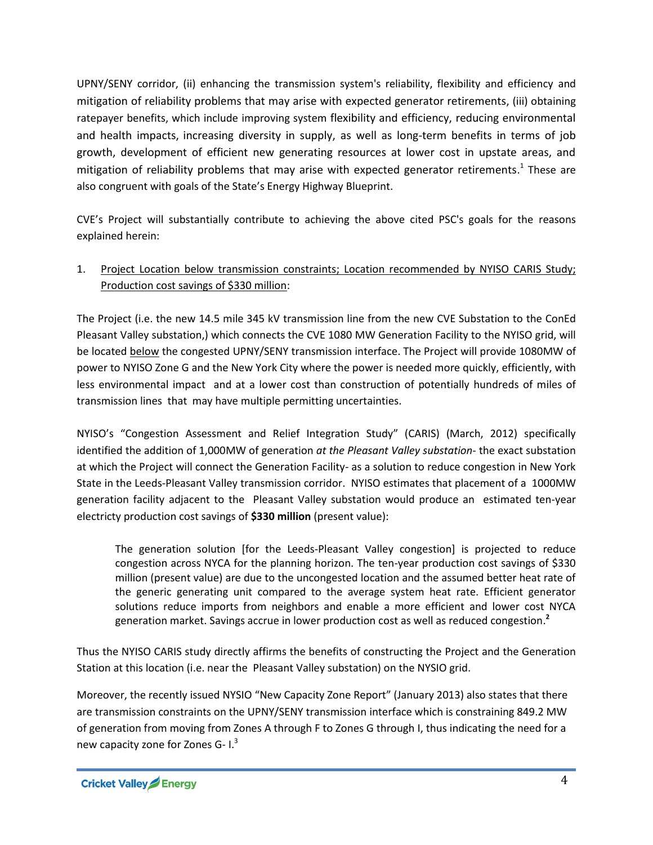UPNY/SENY corridor, (ii) enhancing the transmission system's reliability, flexibility and efficiency and mitigation of reliability problems that may arise with expected generator retirements, (iii) obtaining ratepayer benefits, which include improving system flexibility and efficiency, reducing environmental and health impacts, increasing diversity in supply, as well as long-term benefits in terms of job growth, development of efficient new generating resources at lower cost in upstate areas, and mitigation of reliability problems that may arise with expected generator retirements.<sup>1</sup> These are also congruent with goals of the State's Energy Highway Blueprint.

CVE's Project will substantially contribute to achieving the above cited PSC's goals for the reasons explained herein:

## 1. Project Location below transmission constraints; Location recommended by NYISO CARIS Study; Production cost savings of \$330 million:

The Project (i.e. the new 14.5 mile 345 kV transmission line from the new CVE Substation to the ConEd Pleasant Valley substation,) which connects the CVE 1080 MW Generation Facility to the NYISO grid, will be located **below** the congested UPNY/SENY transmission interface. The Project will provide 1080MW of power to NYISO Zone G and the New York City where the power is needed more quickly, efficiently, with less environmental impact and at a lower cost than construction of potentially hundreds of miles of transmission lines that may have multiple permitting uncertainties.

NYISO's "Congestion Assessment and Relief Integration Study" (CARIS) (March, 2012) specifically identified the addition of 1,000MW of generation *at the Pleasant Valley substation*- the exact substation at which the Project will connect the Generation Facility*-* as a solution to reduce congestion in New York State in the Leeds-Pleasant Valley transmission corridor. NYISO estimates that placement of a 1000MW generation facility adjacent to the Pleasant Valley substation would produce an estimated ten-year electricty production cost savings of **\$330 million** (present value):

The generation solution [for the Leeds-Pleasant Valley congestion] is projected to reduce congestion across NYCA for the planning horizon. The ten-year production cost savings of \$330 million (present value) are due to the uncongested location and the assumed better heat rate of the generic generating unit compared to the average system heat rate. Efficient generator solutions reduce imports from neighbors and enable a more efficient and lower cost NYCA generation market. Savings accrue in lower production cost as well as reduced congestion. **2**

Thus the NYISO CARIS study directly affirms the benefits of constructing the Project and the Generation Station at this location (i.e. near the Pleasant Valley substation) on the NYSIO grid.

Moreover, the recently issued NYSIO "New Capacity Zone Report" (January 2013) also states that there are transmission constraints on the UPNY/SENY transmission interface which is constraining 849.2 MW of generation from moving from Zones A through F to Zones G through I, thus indicating the need for a new capacity zone for Zones G- I.<sup>3</sup>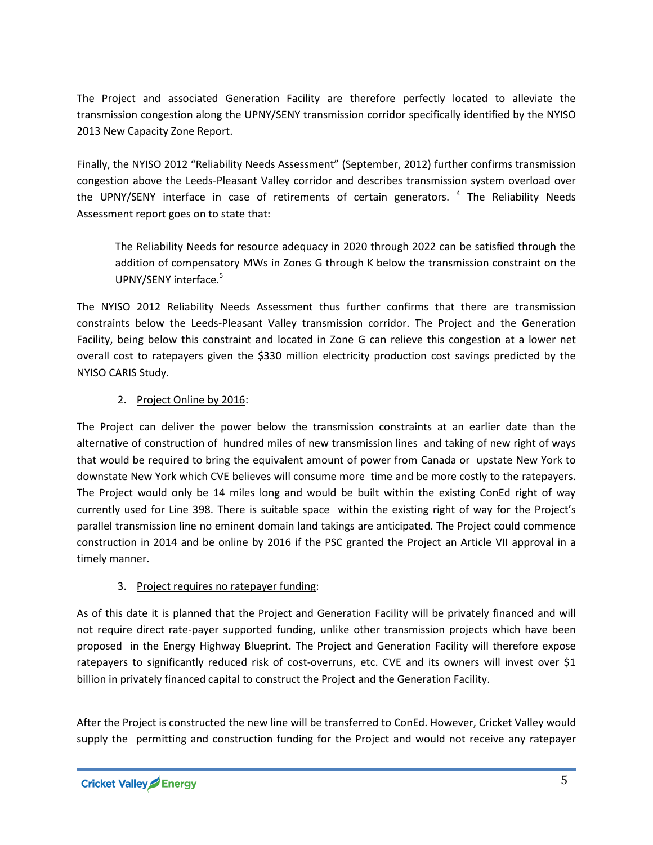The Project and associated Generation Facility are therefore perfectly located to alleviate the transmission congestion along the UPNY/SENY transmission corridor specifically identified by the NYISO 2013 New Capacity Zone Report.

Finally, the NYISO 2012 "Reliability Needs Assessment" (September, 2012) further confirms transmission congestion above the Leeds-Pleasant Valley corridor and describes transmission system overload over the UPNY/SENY interface in case of retirements of certain generators. <sup>4</sup> The Reliability Needs Assessment report goes on to state that:

The Reliability Needs for resource adequacy in 2020 through 2022 can be satisfied through the addition of compensatory MWs in Zones G through K below the transmission constraint on the UPNY/SENY interface.<sup>5</sup>

The NYISO 2012 Reliability Needs Assessment thus further confirms that there are transmission constraints below the Leeds-Pleasant Valley transmission corridor. The Project and the Generation Facility, being below this constraint and located in Zone G can relieve this congestion at a lower net overall cost to ratepayers given the \$330 million electricity production cost savings predicted by the NYISO CARIS Study.

#### 2. Project Online by 2016:

The Project can deliver the power below the transmission constraints at an earlier date than the alternative of construction of hundred miles of new transmission lines and taking of new right of ways that would be required to bring the equivalent amount of power from Canada or upstate New York to downstate New York which CVE believes will consume more time and be more costly to the ratepayers. The Project would only be 14 miles long and would be built within the existing ConEd right of way currently used for Line 398. There is suitable space within the existing right of way for the Project's parallel transmission line no eminent domain land takings are anticipated. The Project could commence construction in 2014 and be online by 2016 if the PSC granted the Project an Article VII approval in a timely manner.

## 3. Project requires no ratepayer funding:

As of this date it is planned that the Project and Generation Facility will be privately financed and will not require direct rate-payer supported funding, unlike other transmission projects which have been proposed in the Energy Highway Blueprint. The Project and Generation Facility will therefore expose ratepayers to significantly reduced risk of cost-overruns, etc. CVE and its owners will invest over \$1 billion in privately financed capital to construct the Project and the Generation Facility.

After the Project is constructed the new line will be transferred to ConEd. However, Cricket Valley would supply the permitting and construction funding for the Project and would not receive any ratepayer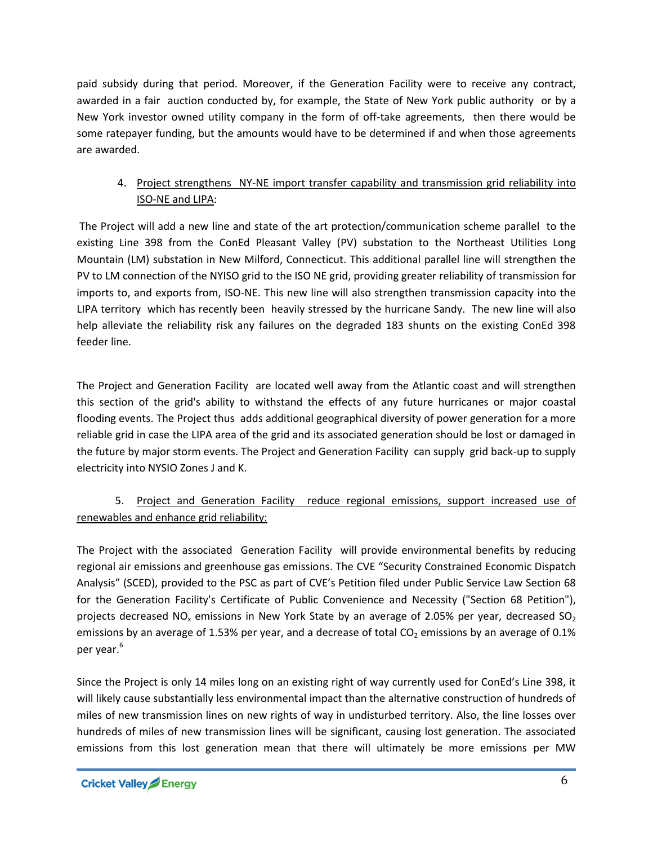paid subsidy during that period. Moreover, if the Generation Facility were to receive any contract, awarded in a fair auction conducted by, for example, the State of New York public authority or by a New York investor owned utility company in the form of off-take agreements, then there would be some ratepayer funding, but the amounts would have to be determined if and when those agreements are awarded.

# 4. Project strengthens NY-NE import transfer capability and transmission grid reliability into ISO-NE and LIPA:

The Project will add a new line and state of the art protection/communication scheme parallel to the existing Line 398 from the ConEd Pleasant Valley (PV) substation to the Northeast Utilities Long Mountain (LM) substation in New Milford, Connecticut. This additional parallel line will strengthen the PV to LM connection of the NYISO grid to the ISO NE grid, providing greater reliability of transmission for imports to, and exports from, ISO-NE. This new line will also strengthen transmission capacity into the LIPA territory which has recently been heavily stressed by the hurricane Sandy. The new line will also help alleviate the reliability risk any failures on the degraded 183 shunts on the existing ConEd 398 feeder line.

The Project and Generation Facility are located well away from the Atlantic coast and will strengthen this section of the grid's ability to withstand the effects of any future hurricanes or major coastal flooding events. The Project thus adds additional geographical diversity of power generation for a more reliable grid in case the LIPA area of the grid and its associated generation should be lost or damaged in the future by major storm events. The Project and Generation Facility can supply grid back-up to supply electricity into NYSIO Zones J and K.

# 5. Project and Generation Facility reduce regional emissions, support increased use of renewables and enhance grid reliability:

The Project with the associated Generation Facility will provide environmental benefits by reducing regional air emissions and greenhouse gas emissions. The CVE "Security Constrained Economic Dispatch Analysis" (SCED), provided to the PSC as part of CVE's Petition filed under Public Service Law Section 68 for the Generation Facility's Certificate of Public Convenience and Necessity ("Section 68 Petition"), projects decreased NO<sub>x</sub> emissions in New York State by an average of 2.05% per year, decreased SO<sub>2</sub> emissions by an average of 1.53% per year, and a decrease of total  $CO<sub>2</sub>$  emissions by an average of 0.1% per year. 6

Since the Project is only 14 miles long on an existing right of way currently used for ConEd's Line 398, it will likely cause substantially less environmental impact than the alternative construction of hundreds of miles of new transmission lines on new rights of way in undisturbed territory. Also, the line losses over hundreds of miles of new transmission lines will be significant, causing lost generation. The associated emissions from this lost generation mean that there will ultimately be more emissions per MW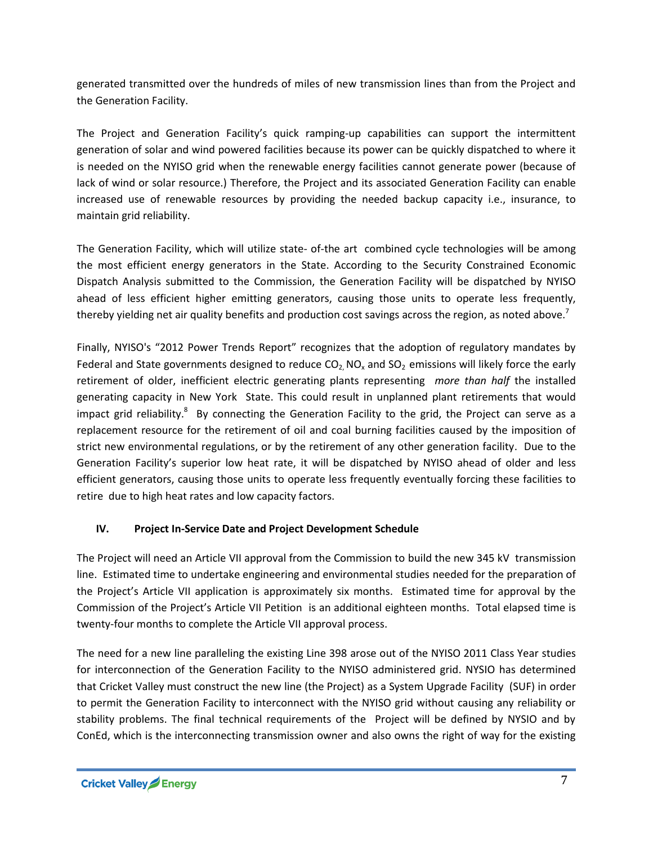generated transmitted over the hundreds of miles of new transmission lines than from the Project and the Generation Facility.

The Project and Generation Facility's quick ramping-up capabilities can support the intermittent generation of solar and wind powered facilities because its power can be quickly dispatched to where it is needed on the NYISO grid when the renewable energy facilities cannot generate power (because of lack of wind or solar resource.) Therefore, the Project and its associated Generation Facility can enable increased use of renewable resources by providing the needed backup capacity i.e., insurance, to maintain grid reliability.

The Generation Facility, which will utilize state- of-the art combined cycle technologies will be among the most efficient energy generators in the State. According to the Security Constrained Economic Dispatch Analysis submitted to the Commission, the Generation Facility will be dispatched by NYISO ahead of less efficient higher emitting generators, causing those units to operate less frequently, thereby yielding net air quality benefits and production cost savings across the region, as noted above.<sup>7</sup>

Finally, NYISO's "2012 Power Trends Report" recognizes that the adoption of regulatory mandates by Federal and State governments designed to reduce  $CO<sub>2</sub> NO<sub>x</sub>$  and  $SO<sub>2</sub>$  emissions will likely force the early retirement of older, inefficient electric generating plants representing *more than half* the installed generating capacity in New York State. This could result in unplanned plant retirements that would impact grid reliability.<sup>8</sup> By connecting the Generation Facility to the grid, the Project can serve as a replacement resource for the retirement of oil and coal burning facilities caused by the imposition of strict new environmental regulations, or by the retirement of any other generation facility. Due to the Generation Facility's superior low heat rate, it will be dispatched by NYISO ahead of older and less efficient generators, causing those units to operate less frequently eventually forcing these facilities to retire due to high heat rates and low capacity factors.

## **IV. Project In-Service Date and Project Development Schedule**

The Project will need an Article VII approval from the Commission to build the new 345 kV transmission line. Estimated time to undertake engineering and environmental studies needed for the preparation of the Project's Article VII application is approximately six months. Estimated time for approval by the Commission of the Project's Article VII Petition is an additional eighteen months. Total elapsed time is twenty-four months to complete the Article VII approval process.

The need for a new line paralleling the existing Line 398 arose out of the NYISO 2011 Class Year studies for interconnection of the Generation Facility to the NYISO administered grid. NYSIO has determined that Cricket Valley must construct the new line (the Project) as a System Upgrade Facility (SUF) in order to permit the Generation Facility to interconnect with the NYISO grid without causing any reliability or stability problems. The final technical requirements of the Project will be defined by NYSIO and by ConEd, which is the interconnecting transmission owner and also owns the right of way for the existing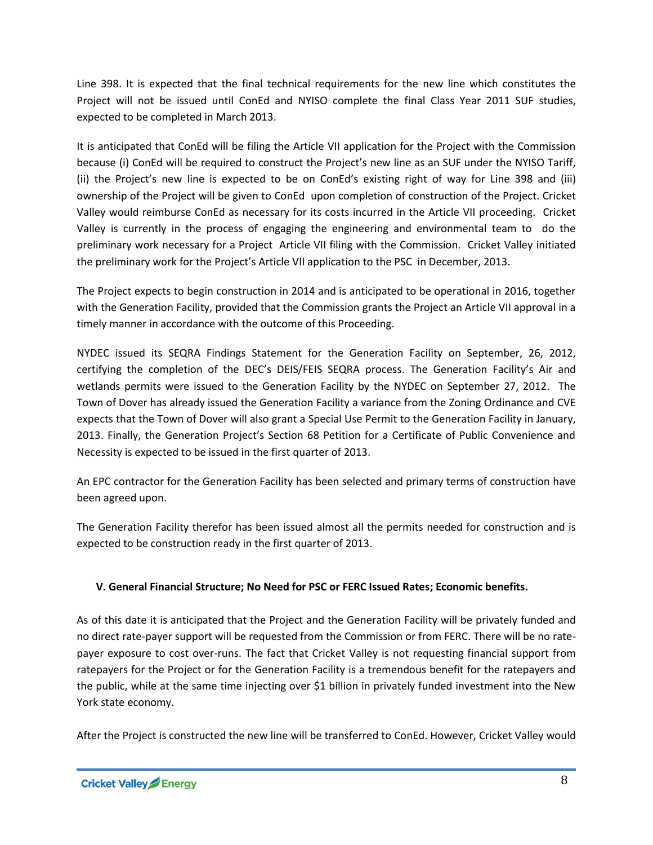Line 398. It is expected that the final technical requirements for the new line which constitutes the Project will not be issued until ConEd and NYISO complete the final Class Year 2011 SUF studies, expected to be completed in March 2013.

It is anticipated that ConEd will be filing the Article VII application for the Project with the Commission because (i) ConEd will be required to construct the Project's new line as an SUF under the NYISO Tariff, (ii) the Project's new line is expected to be on ConEd's existing right of way for Line 398 and (iii) ownership of the Project will be given to ConEd upon completion of construction of the Project. Cricket Valley would reimburse ConEd as necessary for its costs incurred in the Article VII proceeding. Cricket Valley is currently in the process of engaging the engineering and environmental team to do the preliminary work necessary for a Project Article VII filing with the Commission. Cricket Valley initiated the preliminary work for the Project's Article VII application to the PSC in December, 2013.

The Project expects to begin construction in 2014 and is anticipated to be operational in 2016, together with the Generation Facility, provided that the Commission grants the Project an Article VII approval in a timely manner in accordance with the outcome of this Proceeding.

NYDEC issued its SEQRA Findings Statement for the Generation Facility on September, 26, 2012, certifying the completion of the DEC's DEIS/FEIS SEQRA process. The Generation Facility's Air and wetlands permits were issued to the Generation Facility by the NYDEC on September 27, 2012. The Town of Dover has already issued the Generation Facility a variance from the Zoning Ordinance and CVE expects that the Town of Dover will also grant a Special Use Permit to the Generation Facility in January, 2013. Finally, the Generation Project's Section 68 Petition for a Certificate of Public Convenience and Necessity is expected to be issued in the first quarter of 2013.

An EPC contractor for the Generation Facility has been selected and primary terms of construction have been agreed upon.

The Generation Facility therefor has been issued almost all the permits needed for construction and is expected to be construction ready in the first quarter of 2013.

## **V. General Financial Structure; No Need for PSC or FERC Issued Rates; Economic benefits.**

As of this date it is anticipated that the Project and the Generation Facility will be privately funded and no direct rate-payer support will be requested from the Commission or from FERC. There will be no ratepayer exposure to cost over-runs. The fact that Cricket Valley is not requesting financial support from ratepayers for the Project or for the Generation Facility is a tremendous benefit for the ratepayers and the public, while at the same time injecting over \$1 billion in privately funded investment into the New York state economy.

After the Project is constructed the new line will be transferred to ConEd. However, Cricket Valley would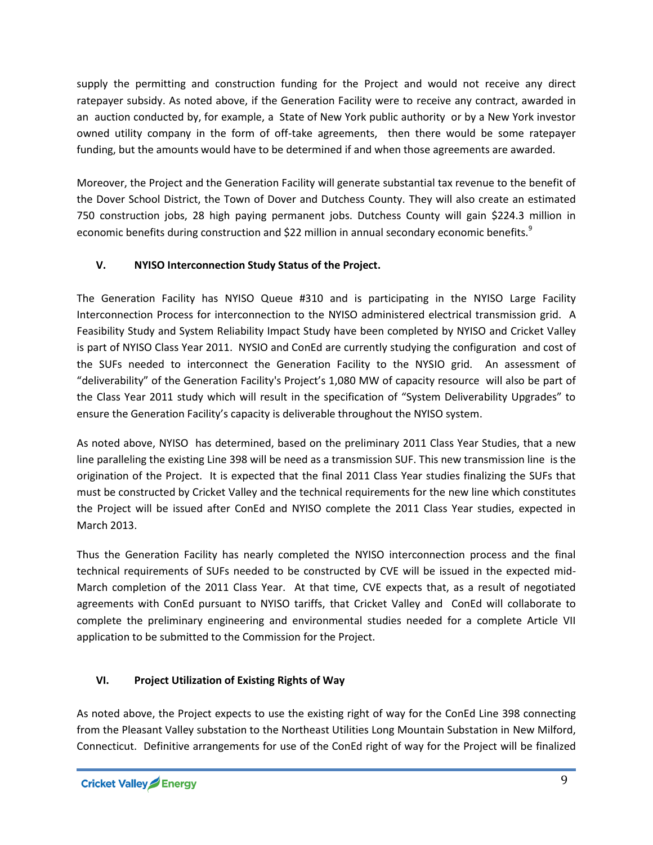supply the permitting and construction funding for the Project and would not receive any direct ratepayer subsidy. As noted above, if the Generation Facility were to receive any contract, awarded in an auction conducted by, for example, a State of New York public authority or by a New York investor owned utility company in the form of off-take agreements, then there would be some ratepayer funding, but the amounts would have to be determined if and when those agreements are awarded.

Moreover, the Project and the Generation Facility will generate substantial tax revenue to the benefit of the Dover School District, the Town of Dover and Dutchess County. They will also create an estimated 750 construction jobs, 28 high paying permanent jobs. Dutchess County will gain \$224.3 million in economic benefits during construction and \$22 million in annual secondary economic benefits.<sup>9</sup>

## **V. NYISO Interconnection Study Status of the Project.**

The Generation Facility has NYISO Queue #310 and is participating in the NYISO Large Facility Interconnection Process for interconnection to the NYISO administered electrical transmission grid. A Feasibility Study and System Reliability Impact Study have been completed by NYISO and Cricket Valley is part of NYISO Class Year 2011. NYSIO and ConEd are currently studying the configuration and cost of the SUFs needed to interconnect the Generation Facility to the NYSIO grid. An assessment of "deliverability" of the Generation Facility's Project's 1,080 MW of capacity resource will also be part of the Class Year 2011 study which will result in the specification of "System Deliverability Upgrades" to ensure the Generation Facility's capacity is deliverable throughout the NYISO system.

As noted above, NYISO has determined, based on the preliminary 2011 Class Year Studies, that a new line paralleling the existing Line 398 will be need as a transmission SUF. This new transmission line is the origination of the Project. It is expected that the final 2011 Class Year studies finalizing the SUFs that must be constructed by Cricket Valley and the technical requirements for the new line which constitutes the Project will be issued after ConEd and NYISO complete the 2011 Class Year studies, expected in March 2013.

Thus the Generation Facility has nearly completed the NYISO interconnection process and the final technical requirements of SUFs needed to be constructed by CVE will be issued in the expected mid-March completion of the 2011 Class Year. At that time, CVE expects that, as a result of negotiated agreements with ConEd pursuant to NYISO tariffs, that Cricket Valley and ConEd will collaborate to complete the preliminary engineering and environmental studies needed for a complete Article VII application to be submitted to the Commission for the Project.

# **VI. Project Utilization of Existing Rights of Way**

As noted above, the Project expects to use the existing right of way for the ConEd Line 398 connecting from the Pleasant Valley substation to the Northeast Utilities Long Mountain Substation in New Milford, Connecticut. Definitive arrangements for use of the ConEd right of way for the Project will be finalized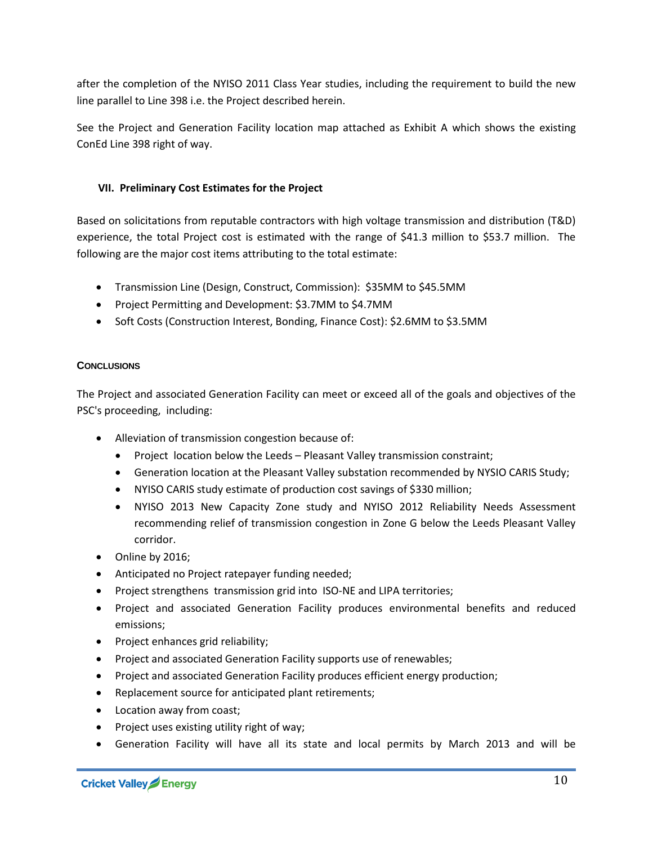after the completion of the NYISO 2011 Class Year studies, including the requirement to build the new line parallel to Line 398 i.e. the Project described herein.

See the Project and Generation Facility location map attached as Exhibit A which shows the existing ConEd Line 398 right of way.

#### **VII. Preliminary Cost Estimates for the Project**

Based on solicitations from reputable contractors with high voltage transmission and distribution (T&D) experience, the total Project cost is estimated with the range of \$41.3 million to \$53.7 million. The following are the major cost items attributing to the total estimate:

- Transmission Line (Design, Construct, Commission): \$35MM to \$45.5MM
- Project Permitting and Development: \$3.7MM to \$4.7MM
- Soft Costs (Construction Interest, Bonding, Finance Cost): \$2.6MM to \$3.5MM

#### **CONCLUSIONS**

The Project and associated Generation Facility can meet or exceed all of the goals and objectives of the PSC's proceeding, including:

- Alleviation of transmission congestion because of:
	- Project location below the Leeds Pleasant Valley transmission constraint;
	- Generation location at the Pleasant Valley substation recommended by NYSIO CARIS Study;
	- NYISO CARIS study estimate of production cost savings of \$330 million;
	- NYISO 2013 New Capacity Zone study and NYISO 2012 Reliability Needs Assessment recommending relief of transmission congestion in Zone G below the Leeds Pleasant Valley corridor.
- Online by 2016;
- Anticipated no Project ratepayer funding needed;
- Project strengthens transmission grid into ISO-NE and LIPA territories;
- Project and associated Generation Facility produces environmental benefits and reduced emissions;
- Project enhances grid reliability;
- Project and associated Generation Facility supports use of renewables;
- Project and associated Generation Facility produces efficient energy production;
- Replacement source for anticipated plant retirements;
- Location away from coast;
- Project uses existing utility right of way;
- Generation Facility will have all its state and local permits by March 2013 and will be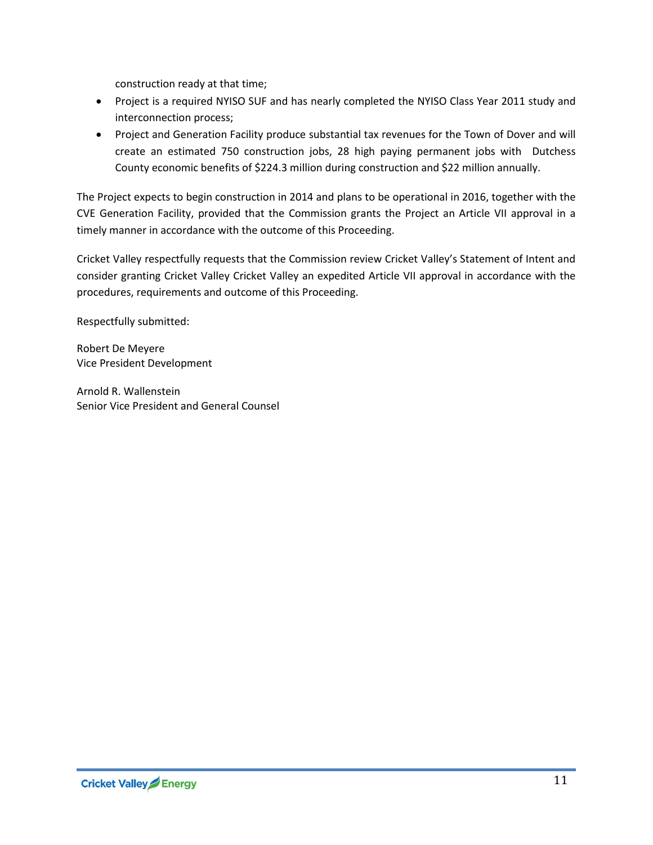construction ready at that time;

- Project is a required NYISO SUF and has nearly completed the NYISO Class Year 2011 study and interconnection process;
- Project and Generation Facility produce substantial tax revenues for the Town of Dover and will create an estimated 750 construction jobs, 28 high paying permanent jobs with Dutchess County economic benefits of \$224.3 million during construction and \$22 million annually.

The Project expects to begin construction in 2014 and plans to be operational in 2016, together with the CVE Generation Facility, provided that the Commission grants the Project an Article VII approval in a timely manner in accordance with the outcome of this Proceeding.

Cricket Valley respectfully requests that the Commission review Cricket Valley's Statement of Intent and consider granting Cricket Valley Cricket Valley an expedited Article VII approval in accordance with the procedures, requirements and outcome of this Proceeding.

Respectfully submitted:

Robert De Meyere Vice President Development

Arnold R. Wallenstein Senior Vice President and General Counsel